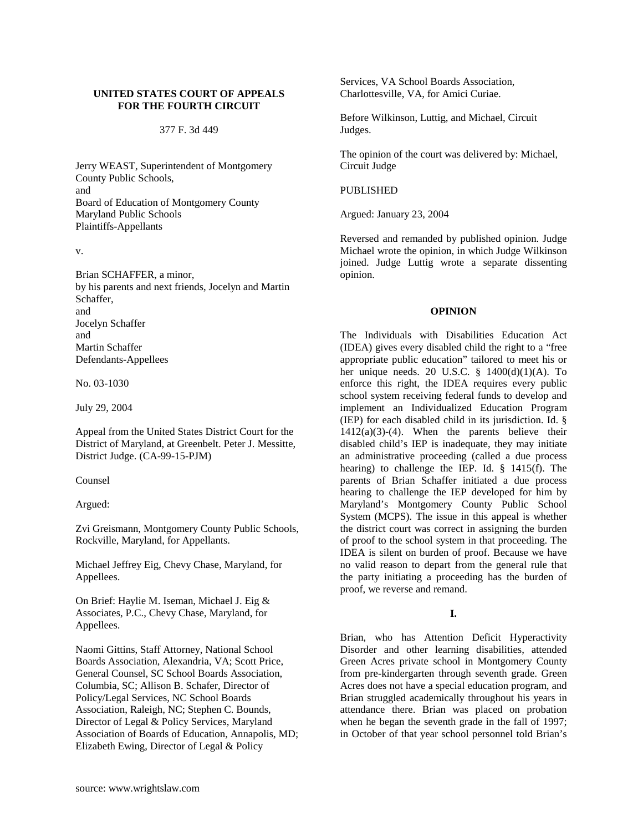### **UNITED STATES COURT OF APPEALS FOR THE FOURTH CIRCUIT**

#### 377 F. 3d 449

Jerry WEAST, Superintendent of Montgomery County Public Schools, and Board of Education of Montgomery County Maryland Public Schools Plaintiffs-Appellants

v.

Brian SCHAFFER, a minor, by his parents and next friends, Jocelyn and Martin Schaffer, and Jocelyn Schaffer and Martin Schaffer Defendants-Appellees

No. 03-1030

July 29, 2004

Appeal from the United States District Court for the District of Maryland, at Greenbelt. Peter J. Messitte, District Judge. (CA-99-15-PJM)

Counsel

Argued:

Zvi Greismann, Montgomery County Public Schools, Rockville, Maryland, for Appellants.

Michael Jeffrey Eig, Chevy Chase, Maryland, for Appellees.

On Brief: Haylie M. Iseman, Michael J. Eig & Associates, P.C., Chevy Chase, Maryland, for Appellees.

Naomi Gittins, Staff Attorney, National School Boards Association, Alexandria, VA; Scott Price, General Counsel, SC School Boards Association, Columbia, SC; Allison B. Schafer, Director of Policy/Legal Services, NC School Boards Association, Raleigh, NC; Stephen C. Bounds, Director of Legal & Policy Services, Maryland Association of Boards of Education, Annapolis, MD; Elizabeth Ewing, Director of Legal & Policy

Services, VA School Boards Association, Charlottesville, VA, for Amici Curiae.

Before Wilkinson, Luttig, and Michael, Circuit Judges.

The opinion of the court was delivered by: Michael, Circuit Judge

PUBLISHED

Argued: January 23, 2004

Reversed and remanded by published opinion. Judge Michael wrote the opinion, in which Judge Wilkinson joined. Judge Luttig wrote a separate dissenting opinion.

#### **OPINION**

The Individuals with Disabilities Education Act (IDEA) gives every disabled child the right to a "free appropriate public education" tailored to meet his or her unique needs. 20 U.S.C.  $\S$  1400(d)(1)(A). To enforce this right, the IDEA requires every public school system receiving federal funds to develop and implement an Individualized Education Program (IEP) for each disabled child in its jurisdiction. Id. §  $1412(a)(3)-(4)$ . When the parents believe their disabled child's IEP is inadequate, they may initiate an administrative proceeding (called a due process hearing) to challenge the IEP. Id.  $\S$  1415(f). The parents of Brian Schaffer initiated a due process hearing to challenge the IEP developed for him by Maryland's Montgomery County Public School System (MCPS). The issue in this appeal is whether the district court was correct in assigning the burden of proof to the school system in that proceeding. The IDEA is silent on burden of proof. Because we have no valid reason to depart from the general rule that the party initiating a proceeding has the burden of proof, we reverse and remand.

## **I.**

Brian, who has Attention Deficit Hyperactivity Disorder and other learning disabilities, attended Green Acres private school in Montgomery County from pre-kindergarten through seventh grade. Green Acres does not have a special education program, and Brian struggled academically throughout his years in attendance there. Brian was placed on probation when he began the seventh grade in the fall of 1997; in October of that year school personnel told Brian's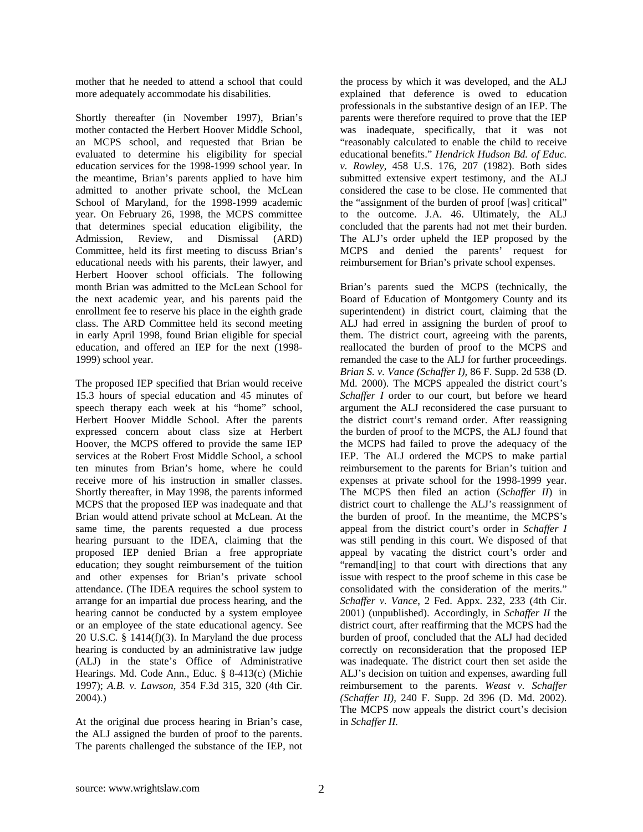mother that he needed to attend a school that could more adequately accommodate his disabilities.

Shortly thereafter (in November 1997), Brian's mother contacted the Herbert Hoover Middle School, an MCPS school, and requested that Brian be evaluated to determine his eligibility for special education services for the 1998-1999 school year. In the meantime, Brian's parents applied to have him admitted to another private school, the McLean School of Maryland, for the 1998-1999 academic year. On February 26, 1998, the MCPS committee that determines special education eligibility, the Admission, Review, and Dismissal (ARD) Committee, held its first meeting to discuss Brian's educational needs with his parents, their lawyer, and Herbert Hoover school officials. The following month Brian was admitted to the McLean School for the next academic year, and his parents paid the enrollment fee to reserve his place in the eighth grade class. The ARD Committee held its second meeting in early April 1998, found Brian eligible for special education, and offered an IEP for the next (1998- 1999) school year.

The proposed IEP specified that Brian would receive 15.3 hours of special education and 45 minutes of speech therapy each week at his "home" school, Herbert Hoover Middle School. After the parents expressed concern about class size at Herbert Hoover, the MCPS offered to provide the same IEP services at the Robert Frost Middle School, a school ten minutes from Brian's home, where he could receive more of his instruction in smaller classes. Shortly thereafter, in May 1998, the parents informed MCPS that the proposed IEP was inadequate and that Brian would attend private school at McLean. At the same time, the parents requested a due process hearing pursuant to the IDEA, claiming that the proposed IEP denied Brian a free appropriate education; they sought reimbursement of the tuition and other expenses for Brian's private school attendance. (The IDEA requires the school system to arrange for an impartial due process hearing, and the hearing cannot be conducted by a system employee or an employee of the state educational agency. See 20 U.S.C.  $\S$  1414(f)(3). In Maryland the due process hearing is conducted by an administrative law judge (ALJ) in the state's Office of Administrative Hearings. Md. Code Ann., Educ. § 8-413(c) (Michie 1997); *A.B. v. Lawson*, 354 F.3d 315, 320 (4th Cir. 2004).)

At the original due process hearing in Brian's case, the ALJ assigned the burden of proof to the parents. The parents challenged the substance of the IEP, not the process by which it was developed, and the ALJ explained that deference is owed to education professionals in the substantive design of an IEP. The parents were therefore required to prove that the IEP was inadequate, specifically, that it was not "reasonably calculated to enable the child to receive educational benefits." *Hendrick Hudson Bd. of Educ. v. Rowley*, 458 U.S. 176, 207 (1982). Both sides submitted extensive expert testimony, and the ALJ considered the case to be close. He commented that the "assignment of the burden of proof [was] critical" to the outcome. J.A. 46. Ultimately, the ALJ concluded that the parents had not met their burden. The ALJ's order upheld the IEP proposed by the MCPS and denied the parents' request for reimbursement for Brian's private school expenses.

Brian's parents sued the MCPS (technically, the Board of Education of Montgomery County and its superintendent) in district court, claiming that the ALJ had erred in assigning the burden of proof to them. The district court, agreeing with the parents, reallocated the burden of proof to the MCPS and remanded the case to the ALJ for further proceedings. *Brian S. v. Vance (Schaffer I),* 86 F. Supp. 2d 538 (D. Md. 2000). The MCPS appealed the district court's *Schaffer I* order to our court, but before we heard argument the ALJ reconsidered the case pursuant to the district court's remand order. After reassigning the burden of proof to the MCPS, the ALJ found that the MCPS had failed to prove the adequacy of the IEP. The ALJ ordered the MCPS to make partial reimbursement to the parents for Brian's tuition and expenses at private school for the 1998-1999 year. The MCPS then filed an action (*Schaffer II*) in district court to challenge the ALJ's reassignment of the burden of proof. In the meantime, the MCPS's appeal from the district court's order in *Schaffer I*  was still pending in this court. We disposed of that appeal by vacating the district court's order and "remand[ing] to that court with directions that any issue with respect to the proof scheme in this case be consolidated with the consideration of the merits." *Schaffer v. Vance*, 2 Fed. Appx. 232, 233 (4th Cir. 2001) (unpublished). Accordingly, in *Schaffer II* the district court, after reaffirming that the MCPS had the burden of proof, concluded that the ALJ had decided correctly on reconsideration that the proposed IEP was inadequate. The district court then set aside the ALJ's decision on tuition and expenses, awarding full reimbursement to the parents. *Weast v. Schaffer (Schaffer II),* 240 F. Supp. 2d 396 (D. Md. 2002). The MCPS now appeals the district court's decision in *Schaffer II.*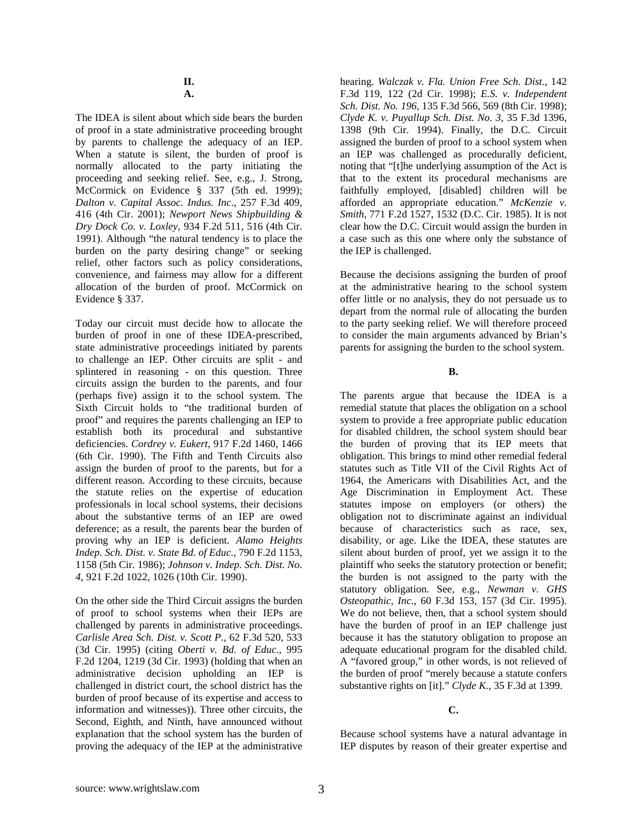The IDEA is silent about which side bears the burden of proof in a state administrative proceeding brought by parents to challenge the adequacy of an IEP. When a statute is silent, the burden of proof is normally allocated to the party initiating the proceeding and seeking relief. See, e.g., J. Strong, McCormick on Evidence § 337 (5th ed. 1999); *Dalton v. Capital Assoc. Indus. Inc*., 257 F.3d 409, 416 (4th Cir. 2001); *Newport News Shipbuilding & Dry Dock Co. v. Loxley*, 934 F.2d 511, 516 (4th Cir. 1991). Although "the natural tendency is to place the burden on the party desiring change" or seeking relief, other factors such as policy considerations, convenience, and fairness may allow for a different allocation of the burden of proof. McCormick on Evidence § 337.

Today our circuit must decide how to allocate the burden of proof in one of these IDEA-prescribed, state administrative proceedings initiated by parents to challenge an IEP. Other circuits are split - and splintered in reasoning - on this question. Three circuits assign the burden to the parents, and four (perhaps five) assign it to the school system. The Sixth Circuit holds to "the traditional burden of proof" and requires the parents challenging an IEP to establish both its procedural and substantive deficiencies. *Cordrey v. Eukert*, 917 F.2d 1460, 1466 (6th Cir. 1990). The Fifth and Tenth Circuits also assign the burden of proof to the parents, but for a different reason. According to these circuits, because the statute relies on the expertise of education professionals in local school systems, their decisions about the substantive terms of an IEP are owed deference; as a result, the parents bear the burden of proving why an IEP is deficient. *Alamo Heights Indep. Sch. Dist. v. State Bd. of Educ*., 790 F.2d 1153, 1158 (5th Cir. 1986); *Johnson v. Indep. Sch. Dist. No. 4*, 921 F.2d 1022, 1026 (10th Cir. 1990).

On the other side the Third Circuit assigns the burden of proof to school systems when their IEPs are challenged by parents in administrative proceedings. *Carlisle Area Sch. Dist. v. Scott P*., 62 F.3d 520, 533 (3d Cir. 1995) (citing *Oberti v. Bd. of Educ*., 995 F.2d 1204, 1219 (3d Cir. 1993) (holding that when an administrative decision upholding an IEP is challenged in district court, the school district has the burden of proof because of its expertise and access to information and witnesses)). Three other circuits, the Second, Eighth, and Ninth, have announced without explanation that the school system has the burden of proving the adequacy of the IEP at the administrative

hearing. *Walczak v. Fla. Union Free Sch. Dist*., 142 F.3d 119, 122 (2d Cir. 1998); *E.S. v. Independent Sch. Dist. No. 196*, 135 F.3d 566, 569 (8th Cir. 1998); *Clyde K. v. Puyallup Sch. Dist. No. 3*, 35 F.3d 1396, 1398 (9th Cir. 1994). Finally, the D.C. Circuit assigned the burden of proof to a school system when an IEP was challenged as procedurally deficient, noting that "[t]he underlying assumption of the Act is that to the extent its procedural mechanisms are faithfully employed, [disabled] children will be afforded an appropriate education." *McKenzie v. Smith*, 771 F.2d 1527, 1532 (D.C. Cir. 1985). It is not clear how the D.C. Circuit would assign the burden in a case such as this one where only the substance of the IEP is challenged.

Because the decisions assigning the burden of proof at the administrative hearing to the school system offer little or no analysis, they do not persuade us to depart from the normal rule of allocating the burden to the party seeking relief. We will therefore proceed to consider the main arguments advanced by Brian's parents for assigning the burden to the school system.

**B.** 

The parents argue that because the IDEA is a remedial statute that places the obligation on a school system to provide a free appropriate public education for disabled children, the school system should bear the burden of proving that its IEP meets that obligation. This brings to mind other remedial federal statutes such as Title VII of the Civil Rights Act of 1964, the Americans with Disabilities Act, and the Age Discrimination in Employment Act. These statutes impose on employers (or others) the obligation not to discriminate against an individual because of characteristics such as race, sex, disability, or age. Like the IDEA, these statutes are silent about burden of proof, yet we assign it to the plaintiff who seeks the statutory protection or benefit; the burden is not assigned to the party with the statutory obligation. See, e.g., *Newman v. GHS Osteopathic, Inc*., 60 F.3d 153, 157 (3d Cir. 1995). We do not believe, then, that a school system should have the burden of proof in an IEP challenge just because it has the statutory obligation to propose an adequate educational program for the disabled child. A "favored group," in other words, is not relieved of the burden of proof "merely because a statute confers substantive rights on [it]." *Clyde K*., 35 F.3d at 1399.

## **C.**

Because school systems have a natural advantage in IEP disputes by reason of their greater expertise and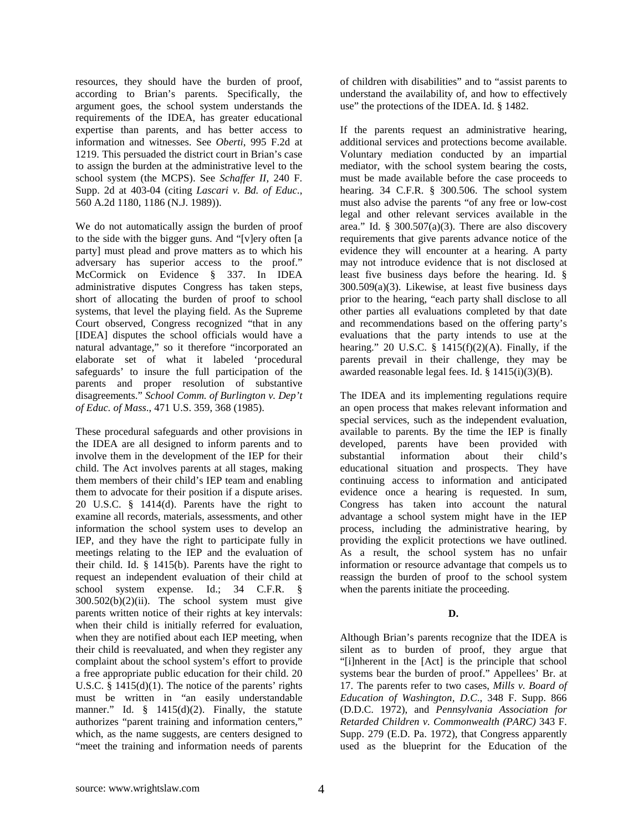resources, they should have the burden of proof, according to Brian's parents. Specifically, the argument goes, the school system understands the requirements of the IDEA, has greater educational expertise than parents, and has better access to information and witnesses. See *Oberti*, 995 F.2d at 1219. This persuaded the district court in Brian's case to assign the burden at the administrative level to the school system (the MCPS). See *Schaffer II*, 240 F. Supp. 2d at 403-04 (citing *Lascari v. Bd. of Educ*., 560 A.2d 1180, 1186 (N.J. 1989)).

We do not automatically assign the burden of proof to the side with the bigger guns. And "[v]ery often [a party] must plead and prove matters as to which his adversary has superior access to the proof." McCormick on Evidence § 337. In IDEA administrative disputes Congress has taken steps, short of allocating the burden of proof to school systems, that level the playing field. As the Supreme Court observed, Congress recognized "that in any [IDEA] disputes the school officials would have a natural advantage," so it therefore "incorporated an elaborate set of what it labeled 'procedural safeguards' to insure the full participation of the parents and proper resolution of substantive disagreements." *School Comm. of Burlington v. Dep't of Educ. of Mass*., 471 U.S. 359, 368 (1985).

These procedural safeguards and other provisions in the IDEA are all designed to inform parents and to involve them in the development of the IEP for their child. The Act involves parents at all stages, making them members of their child's IEP team and enabling them to advocate for their position if a dispute arises. 20 U.S.C. § 1414(d). Parents have the right to examine all records, materials, assessments, and other information the school system uses to develop an IEP, and they have the right to participate fully in meetings relating to the IEP and the evaluation of their child. Id. § 1415(b). Parents have the right to request an independent evaluation of their child at school system expense. Id.; 34 C.F.R. §  $300.502(b)(2)(ii)$ . The school system must give parents written notice of their rights at key intervals: when their child is initially referred for evaluation, when they are notified about each IEP meeting, when their child is reevaluated, and when they register any complaint about the school system's effort to provide a free appropriate public education for their child. 20 U.S.C.  $\S$  1415(d)(1). The notice of the parents' rights must be written in "an easily understandable manner." Id. § 1415(d)(2). Finally, the statute authorizes "parent training and information centers," which, as the name suggests, are centers designed to "meet the training and information needs of parents

of children with disabilities" and to "assist parents to understand the availability of, and how to effectively use" the protections of the IDEA. Id. § 1482.

If the parents request an administrative hearing, additional services and protections become available. Voluntary mediation conducted by an impartial mediator, with the school system bearing the costs, must be made available before the case proceeds to hearing. 34 C.F.R. § 300.506. The school system must also advise the parents "of any free or low-cost legal and other relevant services available in the area." Id.  $\S$  300.507(a)(3). There are also discovery requirements that give parents advance notice of the evidence they will encounter at a hearing. A party may not introduce evidence that is not disclosed at least five business days before the hearing. Id. § 300.509(a)(3). Likewise, at least five business days prior to the hearing, "each party shall disclose to all other parties all evaluations completed by that date and recommendations based on the offering party's evaluations that the party intends to use at the hearing." 20 U.S.C.  $\S$  1415(f)(2)(A). Finally, if the parents prevail in their challenge, they may be awarded reasonable legal fees. Id. § 1415(i)(3)(B).

The IDEA and its implementing regulations require an open process that makes relevant information and special services, such as the independent evaluation, available to parents. By the time the IEP is finally developed, parents have been provided with substantial information about their child's educational situation and prospects. They have continuing access to information and anticipated evidence once a hearing is requested. In sum, Congress has taken into account the natural advantage a school system might have in the IEP process, including the administrative hearing, by providing the explicit protections we have outlined. As a result, the school system has no unfair information or resource advantage that compels us to reassign the burden of proof to the school system when the parents initiate the proceeding.

# **D.**

Although Brian's parents recognize that the IDEA is silent as to burden of proof, they argue that "[i]nherent in the [Act] is the principle that school systems bear the burden of proof." Appellees' Br. at 17. The parents refer to two cases, *Mills v. Board of Education of Washington, D.C*., 348 F. Supp. 866 (D.D.C. 1972), and *Pennsylvania Association for Retarded Children v. Commonwealth (PARC)* 343 F. Supp. 279 (E.D. Pa. 1972), that Congress apparently used as the blueprint for the Education of the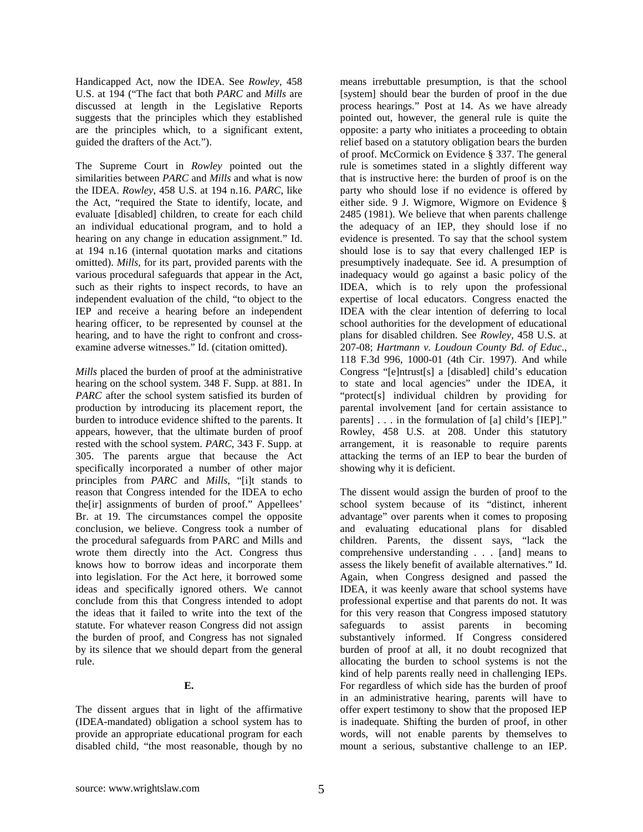Handicapped Act, now the IDEA. See *Rowley*, 458 U.S. at 194 ("The fact that both *PARC* and *Mills* are discussed at length in the Legislative Reports suggests that the principles which they established are the principles which, to a significant extent, guided the drafters of the Act.").

The Supreme Court in *Rowley* pointed out the similarities between *PARC* and *Mills* and what is now the IDEA. *Rowley*, 458 U.S. at 194 n.16. *PARC*, like the Act, "required the State to identify, locate, and evaluate [disabled] children, to create for each child an individual educational program, and to hold a hearing on any change in education assignment." Id. at 194 n.16 (internal quotation marks and citations omitted). *Mills*, for its part, provided parents with the various procedural safeguards that appear in the Act, such as their rights to inspect records, to have an independent evaluation of the child, "to object to the IEP and receive a hearing before an independent hearing officer, to be represented by counsel at the hearing, and to have the right to confront and crossexamine adverse witnesses." Id. (citation omitted).

*Mills* placed the burden of proof at the administrative hearing on the school system. 348 F. Supp. at 881. In *PARC* after the school system satisfied its burden of production by introducing its placement report, the burden to introduce evidence shifted to the parents. It appears, however, that the ultimate burden of proof rested with the school system. *PARC*, 343 F. Supp. at 305. The parents argue that because the Act specifically incorporated a number of other major principles from *PARC* and *Mills*, "[i]t stands to reason that Congress intended for the IDEA to echo the[ir] assignments of burden of proof." Appellees' Br. at 19. The circumstances compel the opposite conclusion, we believe. Congress took a number of the procedural safeguards from PARC and Mills and wrote them directly into the Act. Congress thus knows how to borrow ideas and incorporate them into legislation. For the Act here, it borrowed some ideas and specifically ignored others. We cannot conclude from this that Congress intended to adopt the ideas that it failed to write into the text of the statute. For whatever reason Congress did not assign the burden of proof, and Congress has not signaled by its silence that we should depart from the general rule.

## **E.**

The dissent argues that in light of the affirmative (IDEA-mandated) obligation a school system has to provide an appropriate educational program for each disabled child, "the most reasonable, though by no

means irrebuttable presumption, is that the school [system] should bear the burden of proof in the due process hearings." Post at 14. As we have already pointed out, however, the general rule is quite the opposite: a party who initiates a proceeding to obtain relief based on a statutory obligation bears the burden of proof. McCormick on Evidence § 337. The general rule is sometimes stated in a slightly different way that is instructive here: the burden of proof is on the party who should lose if no evidence is offered by either side. 9 J. Wigmore, Wigmore on Evidence § 2485 (1981). We believe that when parents challenge the adequacy of an IEP, they should lose if no evidence is presented. To say that the school system should lose is to say that every challenged IEP is presumptively inadequate. See id. A presumption of inadequacy would go against a basic policy of the IDEA, which is to rely upon the professional expertise of local educators. Congress enacted the IDEA with the clear intention of deferring to local school authorities for the development of educational plans for disabled children. See *Rowley*, 458 U.S. at 207-08; *Hartmann v. Loudoun County Bd. of Educ*., 118 F.3d 996, 1000-01 (4th Cir. 1997). And while Congress "[e]ntrust[s] a [disabled] child's education to state and local agencies" under the IDEA, it "protect[s] individual children by providing for parental involvement [and for certain assistance to parents] . . . in the formulation of [a] child's [IEP]." Rowley, 458 U.S. at 208. Under this statutory arrangement, it is reasonable to require parents attacking the terms of an IEP to bear the burden of showing why it is deficient.

The dissent would assign the burden of proof to the school system because of its "distinct, inherent advantage" over parents when it comes to proposing and evaluating educational plans for disabled children. Parents, the dissent says, "lack the comprehensive understanding . . . [and] means to assess the likely benefit of available alternatives." Id. Again, when Congress designed and passed the IDEA, it was keenly aware that school systems have professional expertise and that parents do not. It was for this very reason that Congress imposed statutory safeguards to assist parents in becoming substantively informed. If Congress considered burden of proof at all, it no doubt recognized that allocating the burden to school systems is not the kind of help parents really need in challenging IEPs. For regardless of which side has the burden of proof in an administrative hearing, parents will have to offer expert testimony to show that the proposed IEP is inadequate. Shifting the burden of proof, in other words, will not enable parents by themselves to mount a serious, substantive challenge to an IEP.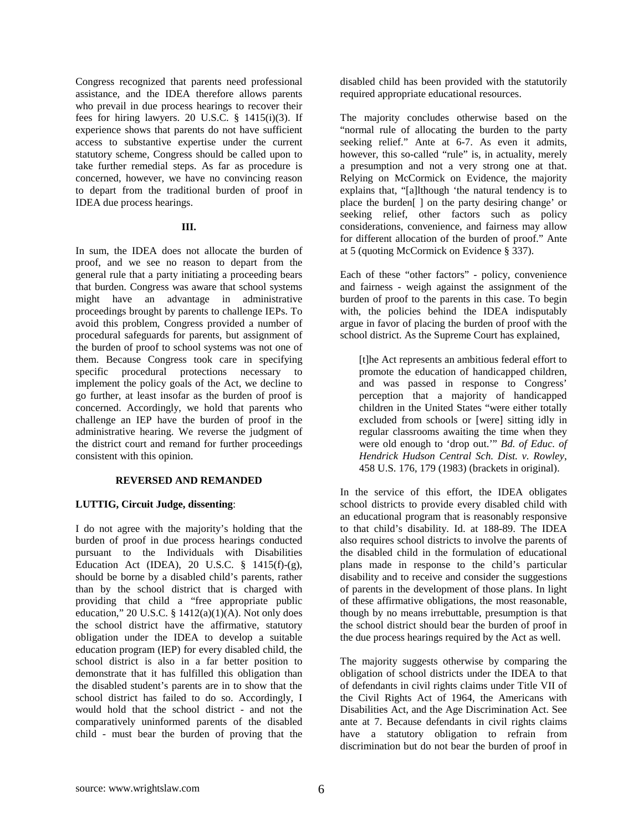Congress recognized that parents need professional assistance, and the IDEA therefore allows parents who prevail in due process hearings to recover their fees for hiring lawyers. 20 U.S.C. § 1415(i)(3). If experience shows that parents do not have sufficient access to substantive expertise under the current statutory scheme, Congress should be called upon to take further remedial steps. As far as procedure is concerned, however, we have no convincing reason to depart from the traditional burden of proof in IDEA due process hearings.

#### **III.**

In sum, the IDEA does not allocate the burden of proof, and we see no reason to depart from the general rule that a party initiating a proceeding bears that burden. Congress was aware that school systems might have an advantage in administrative proceedings brought by parents to challenge IEPs. To avoid this problem, Congress provided a number of procedural safeguards for parents, but assignment of the burden of proof to school systems was not one of them. Because Congress took care in specifying specific procedural protections necessary to implement the policy goals of the Act, we decline to go further, at least insofar as the burden of proof is concerned. Accordingly, we hold that parents who challenge an IEP have the burden of proof in the administrative hearing. We reverse the judgment of the district court and remand for further proceedings consistent with this opinion.

### **REVERSED AND REMANDED**

### **LUTTIG, Circuit Judge, dissenting**:

I do not agree with the majority's holding that the burden of proof in due process hearings conducted pursuant to the Individuals with Disabilities Education Act (IDEA), 20 U.S.C. § 1415(f)-(g), should be borne by a disabled child's parents, rather than by the school district that is charged with providing that child a "free appropriate public education," 20 U.S.C.  $\S$  1412(a)(1)(A). Not only does the school district have the affirmative, statutory obligation under the IDEA to develop a suitable education program (IEP) for every disabled child, the school district is also in a far better position to demonstrate that it has fulfilled this obligation than the disabled student's parents are in to show that the school district has failed to do so. Accordingly, I would hold that the school district - and not the comparatively uninformed parents of the disabled child - must bear the burden of proving that the disabled child has been provided with the statutorily required appropriate educational resources.

The majority concludes otherwise based on the "normal rule of allocating the burden to the party seeking relief." Ante at 6-7. As even it admits, however, this so-called "rule" is, in actuality, merely a presumption and not a very strong one at that. Relying on McCormick on Evidence, the majority explains that, "[a]lthough 'the natural tendency is to place the burden[ ] on the party desiring change' or seeking relief, other factors such as policy considerations, convenience, and fairness may allow for different allocation of the burden of proof." Ante at 5 (quoting McCormick on Evidence § 337).

Each of these "other factors" - policy, convenience and fairness - weigh against the assignment of the burden of proof to the parents in this case. To begin with, the policies behind the IDEA indisputably argue in favor of placing the burden of proof with the school district. As the Supreme Court has explained,

[t]he Act represents an ambitious federal effort to promote the education of handicapped children, and was passed in response to Congress' perception that a majority of handicapped children in the United States "were either totally excluded from schools or [were] sitting idly in regular classrooms awaiting the time when they were old enough to 'drop out.'" *Bd. of Educ. of Hendrick Hudson Central Sch. Dist. v. Rowley*, 458 U.S. 176, 179 (1983) (brackets in original).

In the service of this effort, the IDEA obligates school districts to provide every disabled child with an educational program that is reasonably responsive to that child's disability. Id. at 188-89. The IDEA also requires school districts to involve the parents of the disabled child in the formulation of educational plans made in response to the child's particular disability and to receive and consider the suggestions of parents in the development of those plans. In light of these affirmative obligations, the most reasonable, though by no means irrebuttable, presumption is that the school district should bear the burden of proof in the due process hearings required by the Act as well.

The majority suggests otherwise by comparing the obligation of school districts under the IDEA to that of defendants in civil rights claims under Title VII of the Civil Rights Act of 1964, the Americans with Disabilities Act, and the Age Discrimination Act. See ante at 7. Because defendants in civil rights claims have a statutory obligation to refrain from discrimination but do not bear the burden of proof in